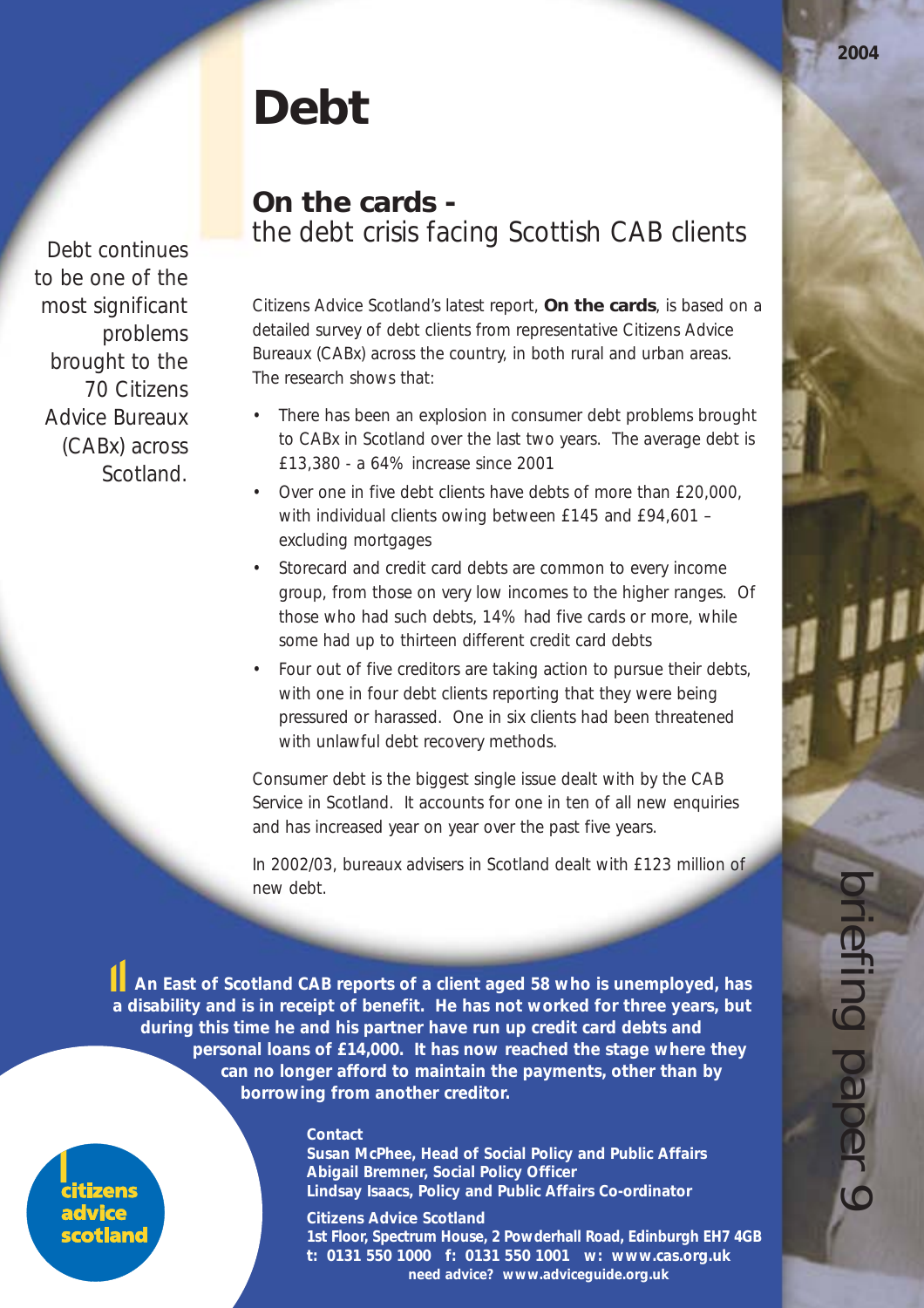# **Debt**

Debt continues to be one of the most significant problems brought to the 70 Citizens Advice Bureaux (CABx) across **Scotland** 

## **On the cards**  the debt crisis facing Scottish CAB clients

Citizens Advice Scotland's latest report, **On the cards**, is based on a detailed survey of debt clients from representative Citizens Advice Bureaux (CABx) across the country, in both rural and urban areas. The research shows that:

- There has been an explosion in consumer debt problems brought to CABx in Scotland over the last two years. The average debt is £13,380 - a 64% increase since 2001
- Over one in five debt clients have debts of more than £20,000, with individual clients owing between £145 and £94,601 – excluding mortgages
- Storecard and credit card debts are common to every income group, from those on very low incomes to the higher ranges. Of those who had such debts, 14% had five cards or more, while some had up to thirteen different credit card debts
- Four out of five creditors are taking action to pursue their debts, with one in four debt clients reporting that they were being pressured or harassed. One in six clients had been threatened with unlawful debt recovery methods.

Consumer debt is the biggest single issue dealt with by the CAB Service in Scotland. It accounts for one in ten of all new enquiries and has increased year on year over the past five years.

In 2002/03, bureaux advisers in Scotland dealt with £123 million of new debt.

*An East of Scotland CAB reports of a client aged 58 who is unemployed, has a disability and is in receipt of benefit. He has not worked for three years, but during this time he and his partner have run up credit card debts and personal loans of £14,000. It has now reached the stage where they can no longer afford to maintain the payments, other than by borrowing from another creditor.*

itizens

#### **Contact**

**Susan McPhee, Head of Social Policy and Public Affairs Abigail Bremner, Social Policy Officer Lindsay Isaacs, Policy and Public Affairs Co-ordinator**

**Citizens Advice Scotland 1st Floor, Spectrum House, 2 Powderhall Road, Edinburgh EH7 4GB t: 0131 550 1000 f: 0131 550 1001 w: www.cas.org.uk need advice? www.adviceguide.org.uk**